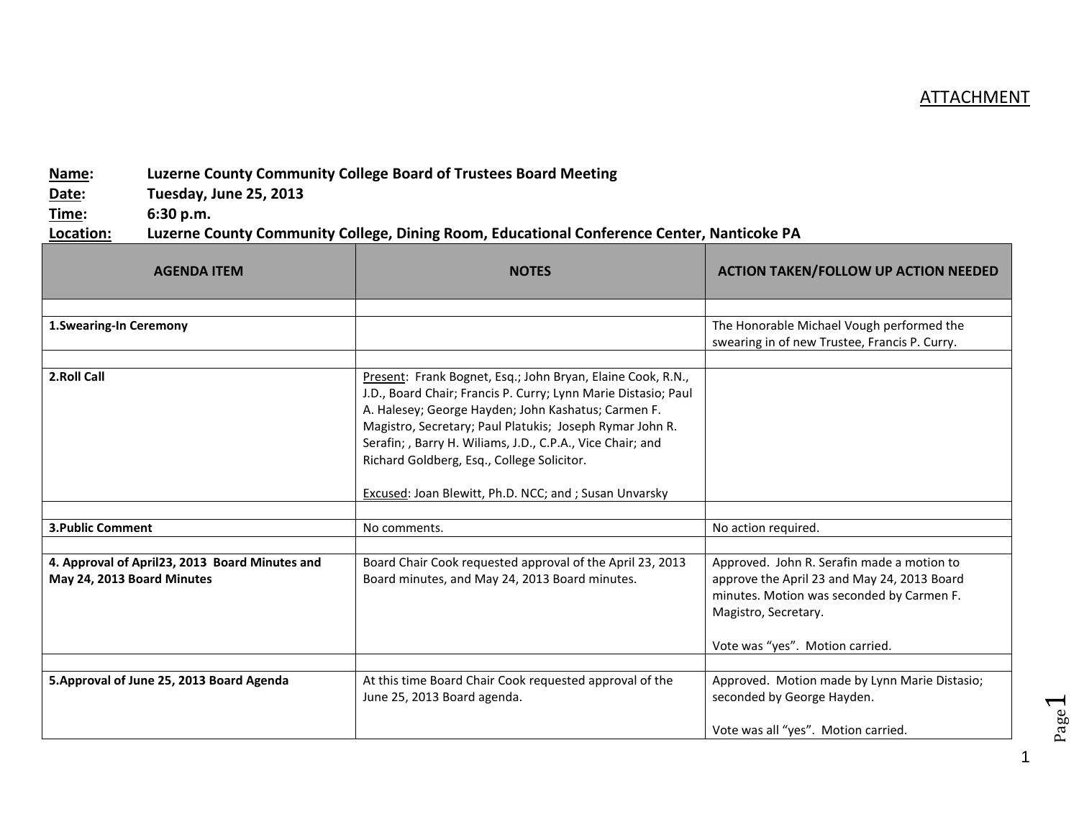## **ATTACHMENT**

## **Name: Luzerne County Community College Board of Trustees Board Meeting**

**Date: Tuesday, June 25, 2013**

**Time: 6:30 p.m.**

## **Location: Luzerne County Community College, Dining Room, Educational Conference Center, Nanticoke PA**

| <b>AGENDA ITEM</b>                                                           | <b>NOTES</b>                                                                                                                                                                                                                                                                                                                                                                                                           | <b>ACTION TAKEN/FOLLOW UP ACTION NEEDED</b>                                                                                                                                                       |
|------------------------------------------------------------------------------|------------------------------------------------------------------------------------------------------------------------------------------------------------------------------------------------------------------------------------------------------------------------------------------------------------------------------------------------------------------------------------------------------------------------|---------------------------------------------------------------------------------------------------------------------------------------------------------------------------------------------------|
|                                                                              |                                                                                                                                                                                                                                                                                                                                                                                                                        |                                                                                                                                                                                                   |
| 1. Swearing-In Ceremony                                                      |                                                                                                                                                                                                                                                                                                                                                                                                                        | The Honorable Michael Vough performed the<br>swearing in of new Trustee, Francis P. Curry.                                                                                                        |
|                                                                              |                                                                                                                                                                                                                                                                                                                                                                                                                        |                                                                                                                                                                                                   |
| 2.Roll Call                                                                  | Present: Frank Bognet, Esq.; John Bryan, Elaine Cook, R.N.,<br>J.D., Board Chair; Francis P. Curry; Lynn Marie Distasio; Paul<br>A. Halesey; George Hayden; John Kashatus; Carmen F.<br>Magistro, Secretary; Paul Platukis; Joseph Rymar John R.<br>Serafin; , Barry H. Wiliams, J.D., C.P.A., Vice Chair; and<br>Richard Goldberg, Esq., College Solicitor.<br>Excused: Joan Blewitt, Ph.D. NCC; and ; Susan Unvarsky |                                                                                                                                                                                                   |
|                                                                              |                                                                                                                                                                                                                                                                                                                                                                                                                        |                                                                                                                                                                                                   |
| <b>3. Public Comment</b>                                                     | No comments.                                                                                                                                                                                                                                                                                                                                                                                                           | No action required.                                                                                                                                                                               |
|                                                                              |                                                                                                                                                                                                                                                                                                                                                                                                                        |                                                                                                                                                                                                   |
| 4. Approval of April23, 2013 Board Minutes and<br>May 24, 2013 Board Minutes | Board Chair Cook requested approval of the April 23, 2013<br>Board minutes, and May 24, 2013 Board minutes.                                                                                                                                                                                                                                                                                                            | Approved. John R. Serafin made a motion to<br>approve the April 23 and May 24, 2013 Board<br>minutes. Motion was seconded by Carmen F.<br>Magistro, Secretary.<br>Vote was "yes". Motion carried. |
|                                                                              |                                                                                                                                                                                                                                                                                                                                                                                                                        |                                                                                                                                                                                                   |
| 5. Approval of June 25, 2013 Board Agenda                                    | At this time Board Chair Cook requested approval of the<br>June 25, 2013 Board agenda.                                                                                                                                                                                                                                                                                                                                 | Approved. Motion made by Lynn Marie Distasio;<br>seconded by George Hayden.<br>Vote was all "yes". Motion carried.                                                                                |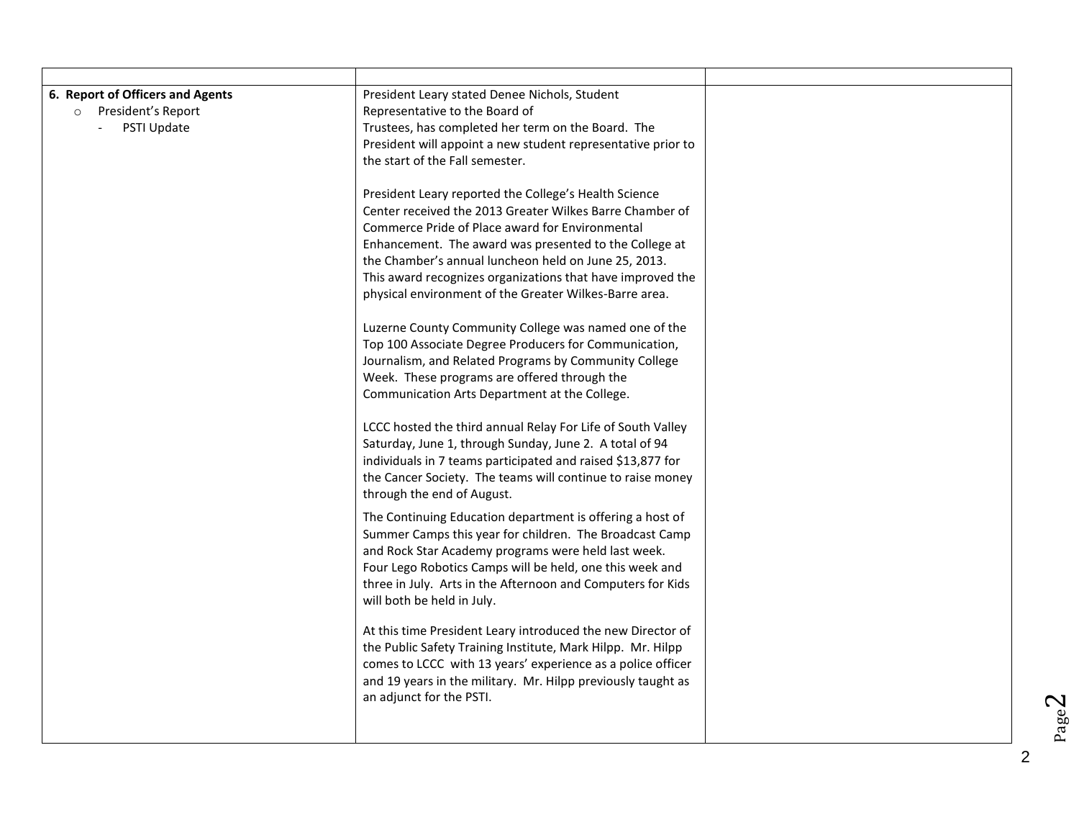| President Leary stated Denee Nichols, Student<br>Representative to the Board of<br>Trustees, has completed her term on the Board. The<br>President will appoint a new student representative prior to<br>the start of the Fall semester.<br>President Leary reported the College's Health Science<br>Center received the 2013 Greater Wilkes Barre Chamber of<br>Commerce Pride of Place award for Environmental |  |
|------------------------------------------------------------------------------------------------------------------------------------------------------------------------------------------------------------------------------------------------------------------------------------------------------------------------------------------------------------------------------------------------------------------|--|
| Enhancement. The award was presented to the College at<br>the Chamber's annual luncheon held on June 25, 2013.<br>This award recognizes organizations that have improved the<br>physical environment of the Greater Wilkes-Barre area.                                                                                                                                                                           |  |
| Luzerne County Community College was named one of the<br>Top 100 Associate Degree Producers for Communication,<br>Journalism, and Related Programs by Community College<br>Week. These programs are offered through the<br>Communication Arts Department at the College.                                                                                                                                         |  |
| LCCC hosted the third annual Relay For Life of South Valley<br>Saturday, June 1, through Sunday, June 2. A total of 94<br>individuals in 7 teams participated and raised \$13,877 for<br>the Cancer Society. The teams will continue to raise money<br>through the end of August.                                                                                                                                |  |
| The Continuing Education department is offering a host of<br>Summer Camps this year for children. The Broadcast Camp<br>and Rock Star Academy programs were held last week.<br>Four Lego Robotics Camps will be held, one this week and<br>three in July. Arts in the Afternoon and Computers for Kids<br>will both be held in July.                                                                             |  |
| At this time President Leary introduced the new Director of<br>the Public Safety Training Institute, Mark Hilpp. Mr. Hilpp<br>comes to LCCC with 13 years' experience as a police officer<br>and 19 years in the military. Mr. Hilpp previously taught as<br>an adjunct for the PSTI.                                                                                                                            |  |
|                                                                                                                                                                                                                                                                                                                                                                                                                  |  |

 $Page<sup>2</sup>$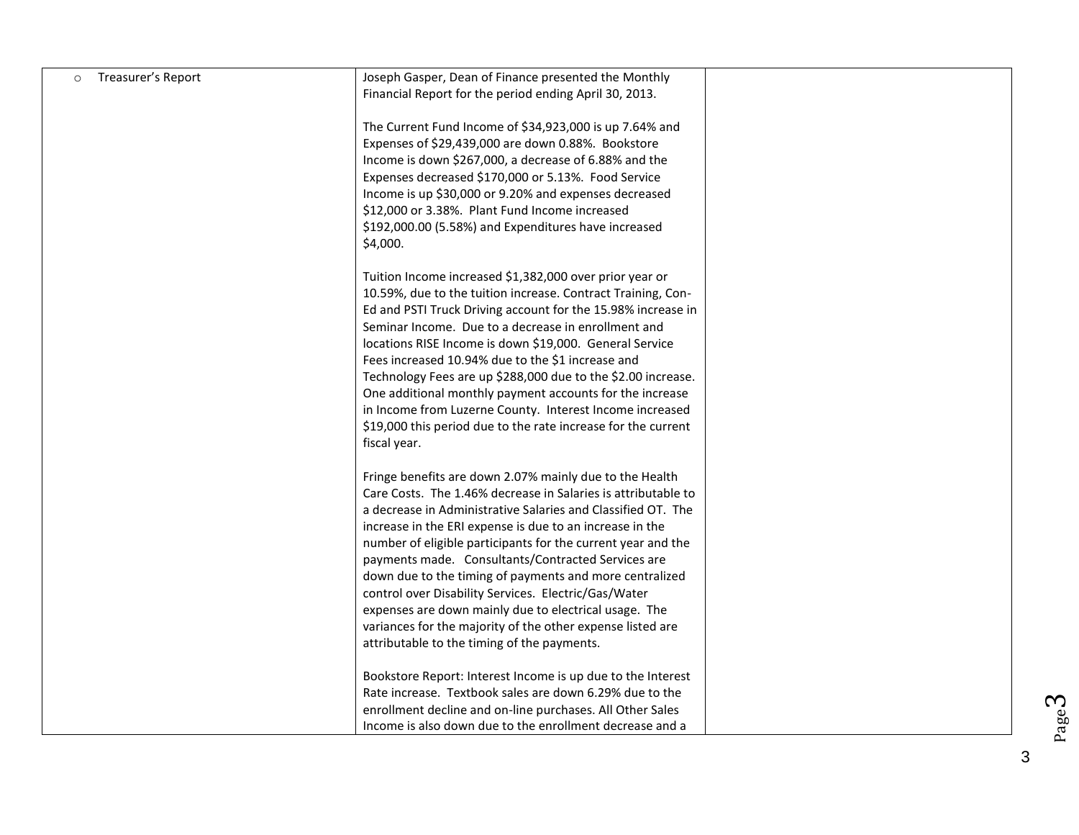| Treasurer's Report<br>$\circ$ | Joseph Gasper, Dean of Finance presented the Monthly          |  |
|-------------------------------|---------------------------------------------------------------|--|
|                               | Financial Report for the period ending April 30, 2013.        |  |
|                               |                                                               |  |
|                               | The Current Fund Income of \$34,923,000 is up 7.64% and       |  |
|                               | Expenses of \$29,439,000 are down 0.88%. Bookstore            |  |
|                               | Income is down \$267,000, a decrease of 6.88% and the         |  |
|                               | Expenses decreased \$170,000 or 5.13%. Food Service           |  |
|                               | Income is up \$30,000 or 9.20% and expenses decreased         |  |
|                               | \$12,000 or 3.38%. Plant Fund Income increased                |  |
|                               | \$192,000.00 (5.58%) and Expenditures have increased          |  |
|                               |                                                               |  |
|                               | \$4,000.                                                      |  |
|                               | Tuition Income increased \$1,382,000 over prior year or       |  |
|                               | 10.59%, due to the tuition increase. Contract Training, Con-  |  |
|                               | Ed and PSTI Truck Driving account for the 15.98% increase in  |  |
|                               | Seminar Income. Due to a decrease in enrollment and           |  |
|                               | locations RISE Income is down \$19,000. General Service       |  |
|                               | Fees increased 10.94% due to the \$1 increase and             |  |
|                               | Technology Fees are up \$288,000 due to the \$2.00 increase.  |  |
|                               | One additional monthly payment accounts for the increase      |  |
|                               | in Income from Luzerne County. Interest Income increased      |  |
|                               | \$19,000 this period due to the rate increase for the current |  |
|                               | fiscal year.                                                  |  |
|                               |                                                               |  |
|                               | Fringe benefits are down 2.07% mainly due to the Health       |  |
|                               | Care Costs. The 1.46% decrease in Salaries is attributable to |  |
|                               | a decrease in Administrative Salaries and Classified OT. The  |  |
|                               | increase in the ERI expense is due to an increase in the      |  |
|                               | number of eligible participants for the current year and the  |  |
|                               | payments made. Consultants/Contracted Services are            |  |
|                               | down due to the timing of payments and more centralized       |  |
|                               | control over Disability Services. Electric/Gas/Water          |  |
|                               | expenses are down mainly due to electrical usage. The         |  |
|                               | variances for the majority of the other expense listed are    |  |
|                               | attributable to the timing of the payments.                   |  |
|                               | Bookstore Report: Interest Income is up due to the Interest   |  |
|                               | Rate increase. Textbook sales are down 6.29% due to the       |  |
|                               | enrollment decline and on-line purchases. All Other Sales     |  |
|                               | Income is also down due to the enrollment decrease and a      |  |
|                               |                                                               |  |

3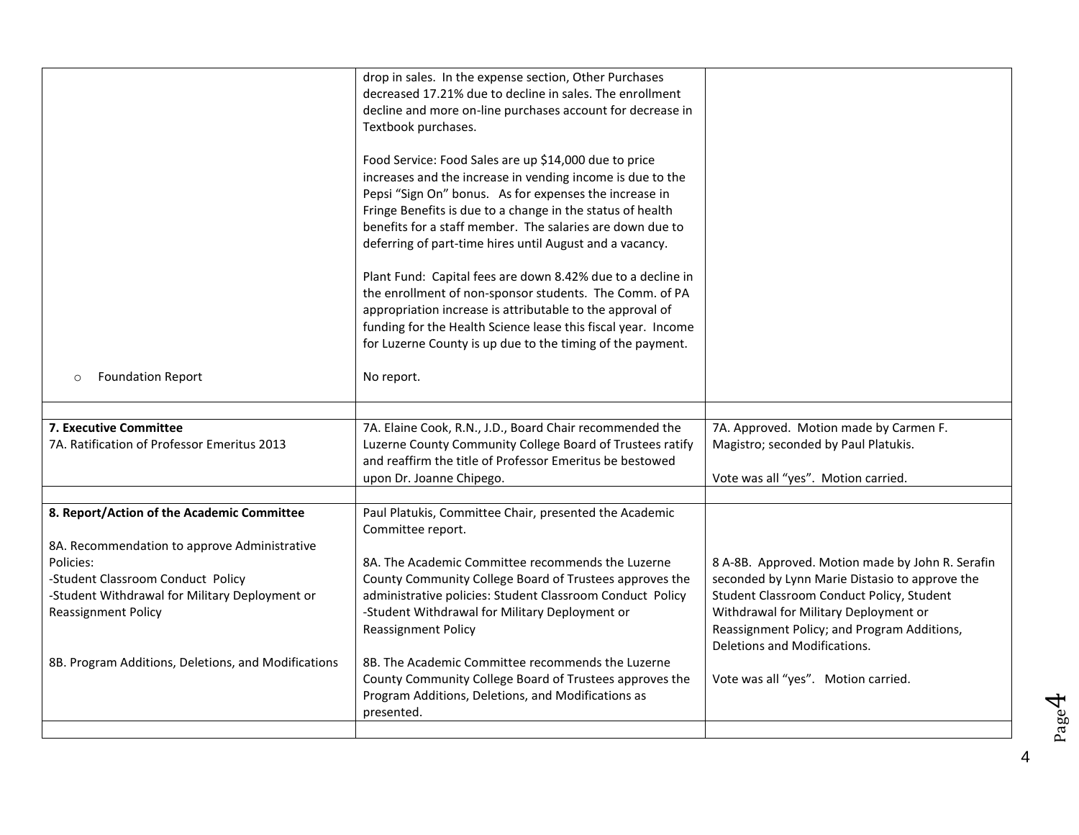|                                                                              | drop in sales. In the expense section, Other Purchases<br>decreased 17.21% due to decline in sales. The enrollment<br>decline and more on-line purchases account for decrease in<br>Textbook purchases.<br>Food Service: Food Sales are up \$14,000 due to price<br>increases and the increase in vending income is due to the<br>Pepsi "Sign On" bonus. As for expenses the increase in<br>Fringe Benefits is due to a change in the status of health<br>benefits for a staff member. The salaries are down due to<br>deferring of part-time hires until August and a vacancy.<br>Plant Fund: Capital fees are down 8.42% due to a decline in<br>the enrollment of non-sponsor students. The Comm. of PA<br>appropriation increase is attributable to the approval of<br>funding for the Health Science lease this fiscal year. Income |                                                                                             |
|------------------------------------------------------------------------------|-----------------------------------------------------------------------------------------------------------------------------------------------------------------------------------------------------------------------------------------------------------------------------------------------------------------------------------------------------------------------------------------------------------------------------------------------------------------------------------------------------------------------------------------------------------------------------------------------------------------------------------------------------------------------------------------------------------------------------------------------------------------------------------------------------------------------------------------|---------------------------------------------------------------------------------------------|
|                                                                              | for Luzerne County is up due to the timing of the payment.                                                                                                                                                                                                                                                                                                                                                                                                                                                                                                                                                                                                                                                                                                                                                                              |                                                                                             |
| <b>Foundation Report</b><br>$\circ$                                          | No report.                                                                                                                                                                                                                                                                                                                                                                                                                                                                                                                                                                                                                                                                                                                                                                                                                              |                                                                                             |
| 7. Executive Committee                                                       | 7A. Elaine Cook, R.N., J.D., Board Chair recommended the                                                                                                                                                                                                                                                                                                                                                                                                                                                                                                                                                                                                                                                                                                                                                                                | 7A. Approved. Motion made by Carmen F.                                                      |
| 7A. Ratification of Professor Emeritus 2013                                  | Luzerne County Community College Board of Trustees ratify<br>and reaffirm the title of Professor Emeritus be bestowed                                                                                                                                                                                                                                                                                                                                                                                                                                                                                                                                                                                                                                                                                                                   | Magistro; seconded by Paul Platukis.                                                        |
|                                                                              | upon Dr. Joanne Chipego.                                                                                                                                                                                                                                                                                                                                                                                                                                                                                                                                                                                                                                                                                                                                                                                                                | Vote was all "yes". Motion carried.                                                         |
| 8. Report/Action of the Academic Committee                                   | Paul Platukis, Committee Chair, presented the Academic                                                                                                                                                                                                                                                                                                                                                                                                                                                                                                                                                                                                                                                                                                                                                                                  |                                                                                             |
| 8A. Recommendation to approve Administrative                                 | Committee report.                                                                                                                                                                                                                                                                                                                                                                                                                                                                                                                                                                                                                                                                                                                                                                                                                       |                                                                                             |
| Policies:                                                                    | 8A. The Academic Committee recommends the Luzerne                                                                                                                                                                                                                                                                                                                                                                                                                                                                                                                                                                                                                                                                                                                                                                                       | 8 A-8B. Approved. Motion made by John R. Serafin                                            |
| -Student Classroom Conduct Policy                                            | County Community College Board of Trustees approves the                                                                                                                                                                                                                                                                                                                                                                                                                                                                                                                                                                                                                                                                                                                                                                                 | seconded by Lynn Marie Distasio to approve the<br>Student Classroom Conduct Policy, Student |
| -Student Withdrawal for Military Deployment or<br><b>Reassignment Policy</b> | administrative policies: Student Classroom Conduct Policy<br>-Student Withdrawal for Military Deployment or                                                                                                                                                                                                                                                                                                                                                                                                                                                                                                                                                                                                                                                                                                                             | Withdrawal for Military Deployment or                                                       |
|                                                                              | <b>Reassignment Policy</b>                                                                                                                                                                                                                                                                                                                                                                                                                                                                                                                                                                                                                                                                                                                                                                                                              | Reassignment Policy; and Program Additions,<br>Deletions and Modifications.                 |
| 8B. Program Additions, Deletions, and Modifications                          | 8B. The Academic Committee recommends the Luzerne                                                                                                                                                                                                                                                                                                                                                                                                                                                                                                                                                                                                                                                                                                                                                                                       |                                                                                             |
|                                                                              | County Community College Board of Trustees approves the<br>Program Additions, Deletions, and Modifications as                                                                                                                                                                                                                                                                                                                                                                                                                                                                                                                                                                                                                                                                                                                           | Vote was all "yes". Motion carried.                                                         |
|                                                                              | presented.                                                                                                                                                                                                                                                                                                                                                                                                                                                                                                                                                                                                                                                                                                                                                                                                                              |                                                                                             |
|                                                                              |                                                                                                                                                                                                                                                                                                                                                                                                                                                                                                                                                                                                                                                                                                                                                                                                                                         |                                                                                             |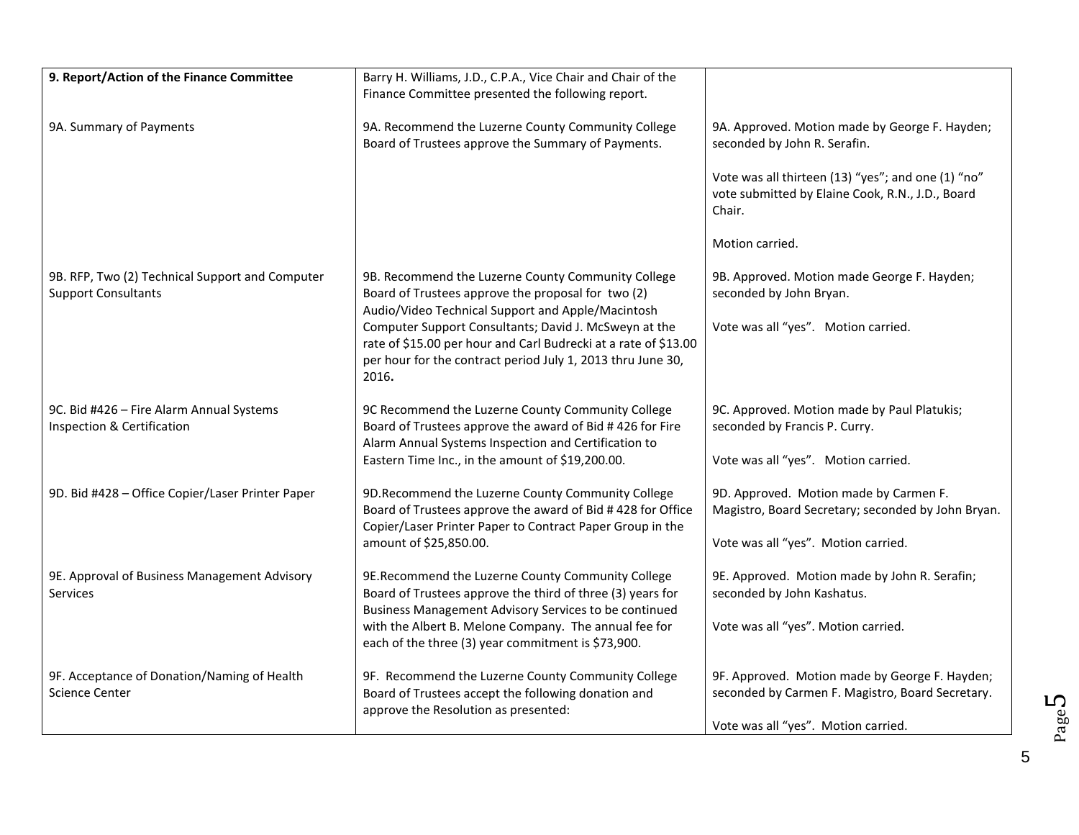| 9. Report/Action of the Finance Committee                                     | Barry H. Williams, J.D., C.P.A., Vice Chair and Chair of the                                                                                                                                                                      |                                                                                                                                     |
|-------------------------------------------------------------------------------|-----------------------------------------------------------------------------------------------------------------------------------------------------------------------------------------------------------------------------------|-------------------------------------------------------------------------------------------------------------------------------------|
|                                                                               | Finance Committee presented the following report.                                                                                                                                                                                 |                                                                                                                                     |
| 9A. Summary of Payments                                                       | 9A. Recommend the Luzerne County Community College<br>Board of Trustees approve the Summary of Payments.                                                                                                                          | 9A. Approved. Motion made by George F. Hayden;<br>seconded by John R. Serafin.                                                      |
|                                                                               |                                                                                                                                                                                                                                   | Vote was all thirteen (13) "yes"; and one (1) "no"<br>vote submitted by Elaine Cook, R.N., J.D., Board<br>Chair.                    |
|                                                                               |                                                                                                                                                                                                                                   | Motion carried.                                                                                                                     |
| 9B. RFP, Two (2) Technical Support and Computer<br><b>Support Consultants</b> | 9B. Recommend the Luzerne County Community College<br>Board of Trustees approve the proposal for two (2)<br>Audio/Video Technical Support and Apple/Macintosh                                                                     | 9B. Approved. Motion made George F. Hayden;<br>seconded by John Bryan.                                                              |
|                                                                               | Computer Support Consultants; David J. McSweyn at the<br>rate of \$15.00 per hour and Carl Budrecki at a rate of \$13.00<br>per hour for the contract period July 1, 2013 thru June 30,<br>2016.                                  | Vote was all "yes". Motion carried.                                                                                                 |
| 9C. Bid #426 - Fire Alarm Annual Systems<br>Inspection & Certification        | 9C Recommend the Luzerne County Community College<br>Board of Trustees approve the award of Bid #426 for Fire<br>Alarm Annual Systems Inspection and Certification to<br>Eastern Time Inc., in the amount of \$19,200.00.         | 9C. Approved. Motion made by Paul Platukis;<br>seconded by Francis P. Curry.<br>Vote was all "yes". Motion carried.                 |
| 9D. Bid #428 - Office Copier/Laser Printer Paper                              | 9D. Recommend the Luzerne County Community College<br>Board of Trustees approve the award of Bid #428 for Office<br>Copier/Laser Printer Paper to Contract Paper Group in the<br>amount of \$25,850.00.                           | 9D. Approved. Motion made by Carmen F.<br>Magistro, Board Secretary; seconded by John Bryan.<br>Vote was all "yes". Motion carried. |
| 9E. Approval of Business Management Advisory<br><b>Services</b>               | 9E.Recommend the Luzerne County Community College<br>Board of Trustees approve the third of three (3) years for<br>Business Management Advisory Services to be continued<br>with the Albert B. Melone Company. The annual fee for | 9E. Approved. Motion made by John R. Serafin;<br>seconded by John Kashatus.<br>Vote was all "yes". Motion carried.                  |
|                                                                               | each of the three (3) year commitment is \$73,900.                                                                                                                                                                                |                                                                                                                                     |
| 9F. Acceptance of Donation/Naming of Health<br><b>Science Center</b>          | 9F. Recommend the Luzerne County Community College<br>Board of Trustees accept the following donation and<br>approve the Resolution as presented:                                                                                 | 9F. Approved. Motion made by George F. Hayden;<br>seconded by Carmen F. Magistro, Board Secretary.                                  |
|                                                                               |                                                                                                                                                                                                                                   | Vote was all "yes". Motion carried.                                                                                                 |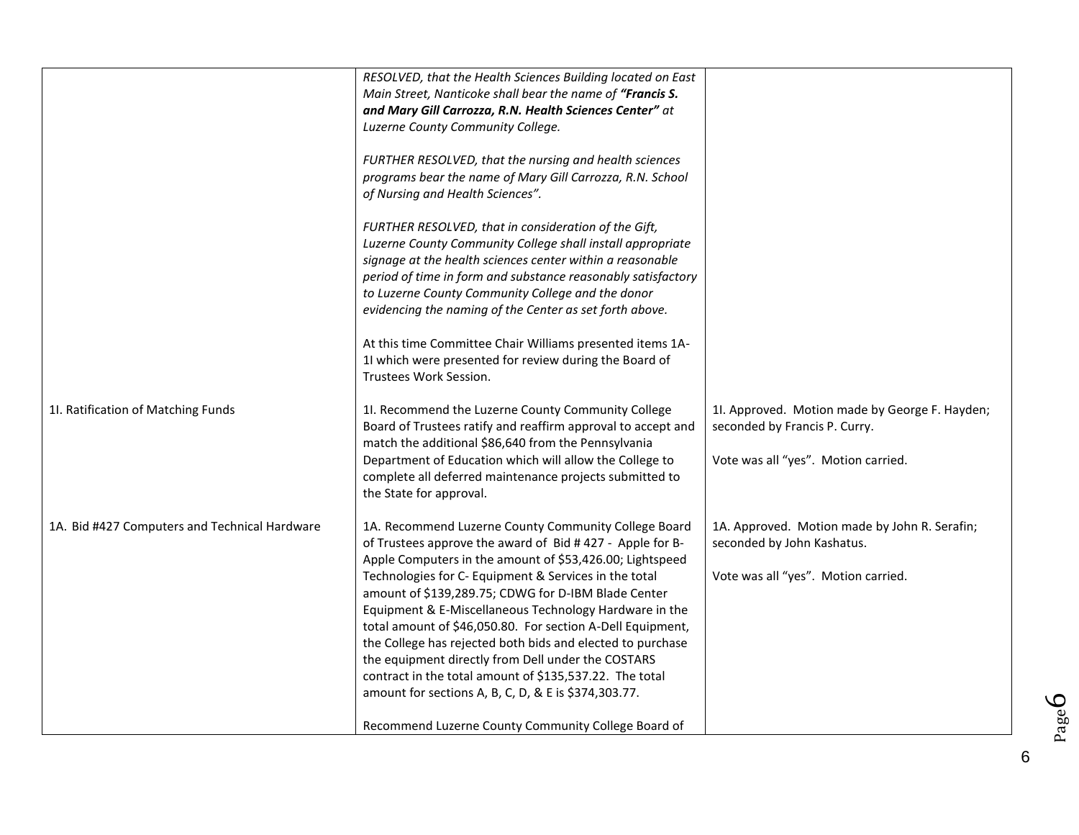|                                               | RESOLVED, that the Health Sciences Building located on East<br>Main Street, Nanticoke shall bear the name of "Francis S.<br>and Mary Gill Carrozza, R.N. Health Sciences Center" at<br>Luzerne County Community College.<br>FURTHER RESOLVED, that the nursing and health sciences<br>programs bear the name of Mary Gill Carrozza, R.N. School<br>of Nursing and Health Sciences".<br>FURTHER RESOLVED, that in consideration of the Gift,<br>Luzerne County Community College shall install appropriate<br>signage at the health sciences center within a reasonable<br>period of time in form and substance reasonably satisfactory<br>to Luzerne County Community College and the donor<br>evidencing the naming of the Center as set forth above.<br>At this time Committee Chair Williams presented items 1A-<br>11 which were presented for review during the Board of<br>Trustees Work Session. |                                                                                                                        |
|-----------------------------------------------|---------------------------------------------------------------------------------------------------------------------------------------------------------------------------------------------------------------------------------------------------------------------------------------------------------------------------------------------------------------------------------------------------------------------------------------------------------------------------------------------------------------------------------------------------------------------------------------------------------------------------------------------------------------------------------------------------------------------------------------------------------------------------------------------------------------------------------------------------------------------------------------------------------|------------------------------------------------------------------------------------------------------------------------|
| 11. Ratification of Matching Funds            | 11. Recommend the Luzerne County Community College<br>Board of Trustees ratify and reaffirm approval to accept and<br>match the additional \$86,640 from the Pennsylvania<br>Department of Education which will allow the College to<br>complete all deferred maintenance projects submitted to<br>the State for approval.                                                                                                                                                                                                                                                                                                                                                                                                                                                                                                                                                                              | 11. Approved. Motion made by George F. Hayden;<br>seconded by Francis P. Curry.<br>Vote was all "yes". Motion carried. |
| 1A. Bid #427 Computers and Technical Hardware | 1A. Recommend Luzerne County Community College Board<br>of Trustees approve the award of Bid #427 - Apple for B-<br>Apple Computers in the amount of \$53,426.00; Lightspeed<br>Technologies for C- Equipment & Services in the total<br>amount of \$139,289.75; CDWG for D-IBM Blade Center<br>Equipment & E-Miscellaneous Technology Hardware in the<br>total amount of \$46,050.80. For section A-Dell Equipment,<br>the College has rejected both bids and elected to purchase<br>the equipment directly from Dell under the COSTARS<br>contract in the total amount of \$135,537.22. The total<br>amount for sections A, B, C, D, & E is \$374,303.77.<br>Recommend Luzerne County Community College Board of                                                                                                                                                                                      | 1A. Approved. Motion made by John R. Serafin;<br>seconded by John Kashatus.<br>Vote was all "yes". Motion carried.     |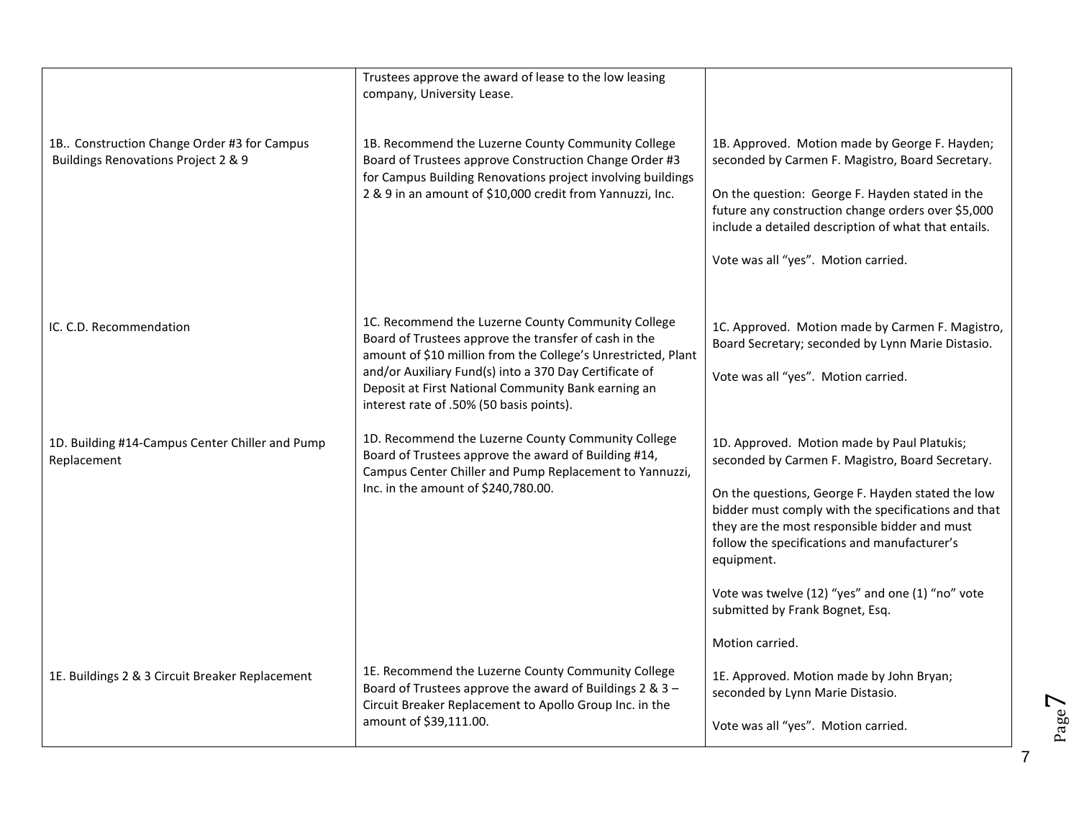|                                                                                    | Trustees approve the award of lease to the low leasing<br>company, University Lease.                                                                                                                                                                                                                                                      |                                                                                                                                                                                                                                                                                                                                                                                                                                      |
|------------------------------------------------------------------------------------|-------------------------------------------------------------------------------------------------------------------------------------------------------------------------------------------------------------------------------------------------------------------------------------------------------------------------------------------|--------------------------------------------------------------------------------------------------------------------------------------------------------------------------------------------------------------------------------------------------------------------------------------------------------------------------------------------------------------------------------------------------------------------------------------|
| 1B. Construction Change Order #3 for Campus<br>Buildings Renovations Project 2 & 9 | 1B. Recommend the Luzerne County Community College<br>Board of Trustees approve Construction Change Order #3<br>for Campus Building Renovations project involving buildings<br>2 & 9 in an amount of \$10,000 credit from Yannuzzi, Inc.                                                                                                  | 1B. Approved. Motion made by George F. Hayden;<br>seconded by Carmen F. Magistro, Board Secretary.<br>On the question: George F. Hayden stated in the<br>future any construction change orders over \$5,000<br>include a detailed description of what that entails.<br>Vote was all "yes". Motion carried.                                                                                                                           |
| IC. C.D. Recommendation                                                            | 1C. Recommend the Luzerne County Community College<br>Board of Trustees approve the transfer of cash in the<br>amount of \$10 million from the College's Unrestricted, Plant<br>and/or Auxiliary Fund(s) into a 370 Day Certificate of<br>Deposit at First National Community Bank earning an<br>interest rate of .50% (50 basis points). | 1C. Approved. Motion made by Carmen F. Magistro,<br>Board Secretary; seconded by Lynn Marie Distasio.<br>Vote was all "yes". Motion carried.                                                                                                                                                                                                                                                                                         |
| 1D. Building #14-Campus Center Chiller and Pump<br>Replacement                     | 1D. Recommend the Luzerne County Community College<br>Board of Trustees approve the award of Building #14,<br>Campus Center Chiller and Pump Replacement to Yannuzzi,<br>Inc. in the amount of \$240,780.00.                                                                                                                              | 1D. Approved. Motion made by Paul Platukis;<br>seconded by Carmen F. Magistro, Board Secretary.<br>On the questions, George F. Hayden stated the low<br>bidder must comply with the specifications and that<br>they are the most responsible bidder and must<br>follow the specifications and manufacturer's<br>equipment.<br>Vote was twelve (12) "yes" and one (1) "no" vote<br>submitted by Frank Bognet, Esq.<br>Motion carried. |
| 1E. Buildings 2 & 3 Circuit Breaker Replacement                                    | 1E. Recommend the Luzerne County Community College<br>Board of Trustees approve the award of Buildings 2 & 3 -<br>Circuit Breaker Replacement to Apollo Group Inc. in the<br>amount of \$39,111.00.                                                                                                                                       | 1E. Approved. Motion made by John Bryan;<br>seconded by Lynn Marie Distasio.<br>Vote was all "yes". Motion carried.                                                                                                                                                                                                                                                                                                                  |

 $\blacktriangleright$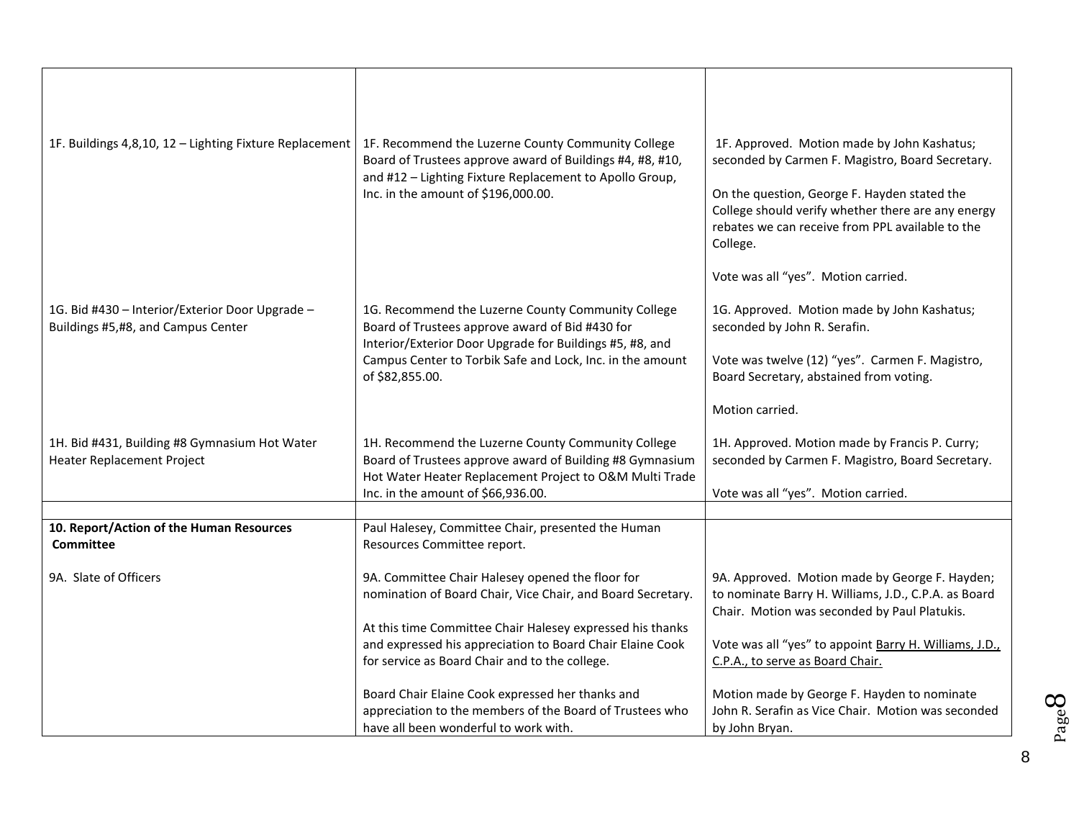| 1F. Buildings 4,8,10, 12 - Lighting Fixture Replacement                               | 1F. Recommend the Luzerne County Community College<br>Board of Trustees approve award of Buildings #4, #8, #10,                                                           | 1F. Approved. Motion made by John Kashatus;<br>seconded by Carmen F. Magistro, Board Secretary.                                                                    |
|---------------------------------------------------------------------------------------|---------------------------------------------------------------------------------------------------------------------------------------------------------------------------|--------------------------------------------------------------------------------------------------------------------------------------------------------------------|
|                                                                                       | and #12 - Lighting Fixture Replacement to Apollo Group,<br>Inc. in the amount of \$196,000.00.                                                                            | On the question, George F. Hayden stated the<br>College should verify whether there are any energy<br>rebates we can receive from PPL available to the<br>College. |
|                                                                                       |                                                                                                                                                                           | Vote was all "yes". Motion carried.                                                                                                                                |
| 1G. Bid #430 - Interior/Exterior Door Upgrade -<br>Buildings #5,#8, and Campus Center | 1G. Recommend the Luzerne County Community College<br>Board of Trustees approve award of Bid #430 for<br>Interior/Exterior Door Upgrade for Buildings #5, #8, and         | 1G. Approved. Motion made by John Kashatus;<br>seconded by John R. Serafin.                                                                                        |
|                                                                                       | Campus Center to Torbik Safe and Lock, Inc. in the amount<br>of \$82,855.00.                                                                                              | Vote was twelve (12) "yes". Carmen F. Magistro,<br>Board Secretary, abstained from voting.                                                                         |
|                                                                                       |                                                                                                                                                                           | Motion carried.                                                                                                                                                    |
| 1H. Bid #431, Building #8 Gymnasium Hot Water<br>Heater Replacement Project           | 1H. Recommend the Luzerne County Community College<br>Board of Trustees approve award of Building #8 Gymnasium<br>Hot Water Heater Replacement Project to O&M Multi Trade | 1H. Approved. Motion made by Francis P. Curry;<br>seconded by Carmen F. Magistro, Board Secretary.                                                                 |
|                                                                                       | Inc. in the amount of \$66,936.00.                                                                                                                                        | Vote was all "yes". Motion carried.                                                                                                                                |
| 10. Report/Action of the Human Resources                                              | Paul Halesey, Committee Chair, presented the Human                                                                                                                        |                                                                                                                                                                    |
| <b>Committee</b>                                                                      | Resources Committee report.                                                                                                                                               |                                                                                                                                                                    |
| 9A. Slate of Officers                                                                 | 9A. Committee Chair Halesey opened the floor for<br>nomination of Board Chair, Vice Chair, and Board Secretary.                                                           | 9A. Approved. Motion made by George F. Hayden;<br>to nominate Barry H. Williams, J.D., C.P.A. as Board<br>Chair. Motion was seconded by Paul Platukis.             |
|                                                                                       | At this time Committee Chair Halesey expressed his thanks                                                                                                                 |                                                                                                                                                                    |
|                                                                                       | and expressed his appreciation to Board Chair Elaine Cook<br>for service as Board Chair and to the college.                                                               | Vote was all "yes" to appoint Barry H. Williams, J.D.,<br>C.P.A., to serve as Board Chair.                                                                         |
|                                                                                       |                                                                                                                                                                           |                                                                                                                                                                    |
|                                                                                       | Board Chair Elaine Cook expressed her thanks and                                                                                                                          | Motion made by George F. Hayden to nominate                                                                                                                        |
|                                                                                       | appreciation to the members of the Board of Trustees who<br>have all been wonderful to work with.                                                                         | John R. Serafin as Vice Chair. Motion was seconded<br>by John Bryan.                                                                                               |
|                                                                                       |                                                                                                                                                                           |                                                                                                                                                                    |